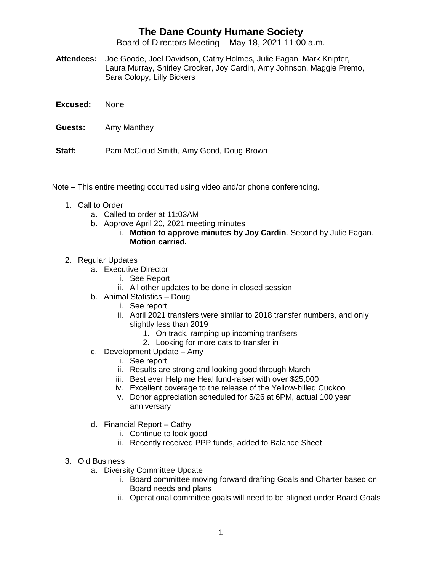## **The Dane County Humane Society**

Board of Directors Meeting – May 18, 2021 11:00 a.m.

- **Attendees:** Joe Goode, Joel Davidson, Cathy Holmes, Julie Fagan, Mark Knipfer, Laura Murray, Shirley Crocker, Joy Cardin, Amy Johnson, Maggie Premo, Sara Colopy, Lilly Bickers
- **Excused:** None
- **Guests:** Amy Manthey
- **Staff:** Pam McCloud Smith, Amy Good, Doug Brown
- Note This entire meeting occurred using video and/or phone conferencing.
	- 1. Call to Order
		- a. Called to order at 11:03AM
		- b. Approve April 20, 2021 meeting minutes
			- i. **Motion to approve minutes by Joy Cardin**. Second by Julie Fagan. **Motion carried.**
	- 2. Regular Updates
		- a. Executive Director
			- i. See Report
			- ii. All other updates to be done in closed session
		- b. Animal Statistics Doug
			- i. See report
			- ii. April 2021 transfers were similar to 2018 transfer numbers, and only slightly less than 2019
				- 1. On track, ramping up incoming tranfsers
				- 2. Looking for more cats to transfer in
		- c. Development Update Amy
			- i. See report
			- ii. Results are strong and looking good through March
			- iii. Best ever Help me Heal fund-raiser with over \$25,000
			- iv. Excellent coverage to the release of the Yellow-billed Cuckoo
			- v. Donor appreciation scheduled for 5/26 at 6PM, actual 100 year anniversary
		- d. Financial Report Cathy
			- i. Continue to look good
			- ii. Recently received PPP funds, added to Balance Sheet
	- 3. Old Business
		- a. Diversity Committee Update
			- i. Board committee moving forward drafting Goals and Charter based on Board needs and plans
			- ii. Operational committee goals will need to be aligned under Board Goals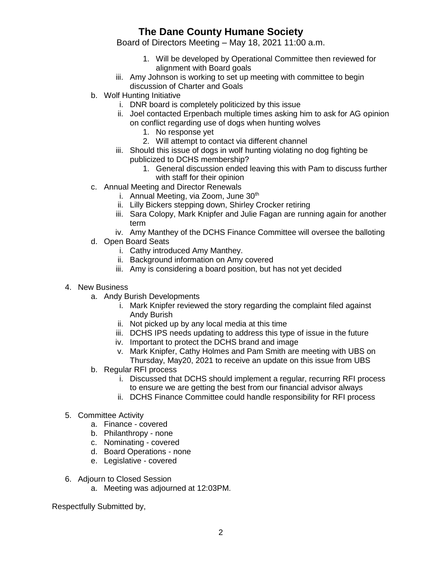## **The Dane County Humane Society**

Board of Directors Meeting – May 18, 2021 11:00 a.m.

- 1. Will be developed by Operational Committee then reviewed for alignment with Board goals
- iii. Amy Johnson is working to set up meeting with committee to begin discussion of Charter and Goals
- b. Wolf Hunting Initiative
	- i. DNR board is completely politicized by this issue
	- ii. Joel contacted Erpenbach multiple times asking him to ask for AG opinion on conflict regarding use of dogs when hunting wolves
		- 1. No response yet
		- 2. Will attempt to contact via different channel
	- iii. Should this issue of dogs in wolf hunting violating no dog fighting be publicized to DCHS membership?
		- 1. General discussion ended leaving this with Pam to discuss further with staff for their opinion
- c. Annual Meeting and Director Renewals
	- i. Annual Meeting, via Zoom, June  $30<sup>th</sup>$
	- ii. Lilly Bickers stepping down, Shirley Crocker retiring
	- iii. Sara Colopy, Mark Knipfer and Julie Fagan are running again for another term
	- iv. Amy Manthey of the DCHS Finance Committee will oversee the balloting
- d. Open Board Seats
	- i. Cathy introduced Amy Manthey.
	- ii. Background information on Amy covered
	- iii. Amy is considering a board position, but has not yet decided
- 4. New Business
	- a. Andy Burish Developments
		- i. Mark Knipfer reviewed the story regarding the complaint filed against Andy Burish
		- ii. Not picked up by any local media at this time
		- iii. DCHS IPS needs updating to address this type of issue in the future
		- iv. Important to protect the DCHS brand and image
		- v. Mark Knipfer, Cathy Holmes and Pam Smith are meeting with UBS on Thursday, May20, 2021 to receive an update on this issue from UBS
	- b. Regular RFI process
		- i. Discussed that DCHS should implement a regular, recurring RFI process to ensure we are getting the best from our financial advisor always
		- ii. DCHS Finance Committee could handle responsibility for RFI process
- 5. Committee Activity
	- a. Finance covered
	- b. Philanthropy none
	- c. Nominating covered
	- d. Board Operations none
	- e. Legislative covered
- 6. Adjourn to Closed Session
	- a. Meeting was adjourned at 12:03PM.

Respectfully Submitted by,